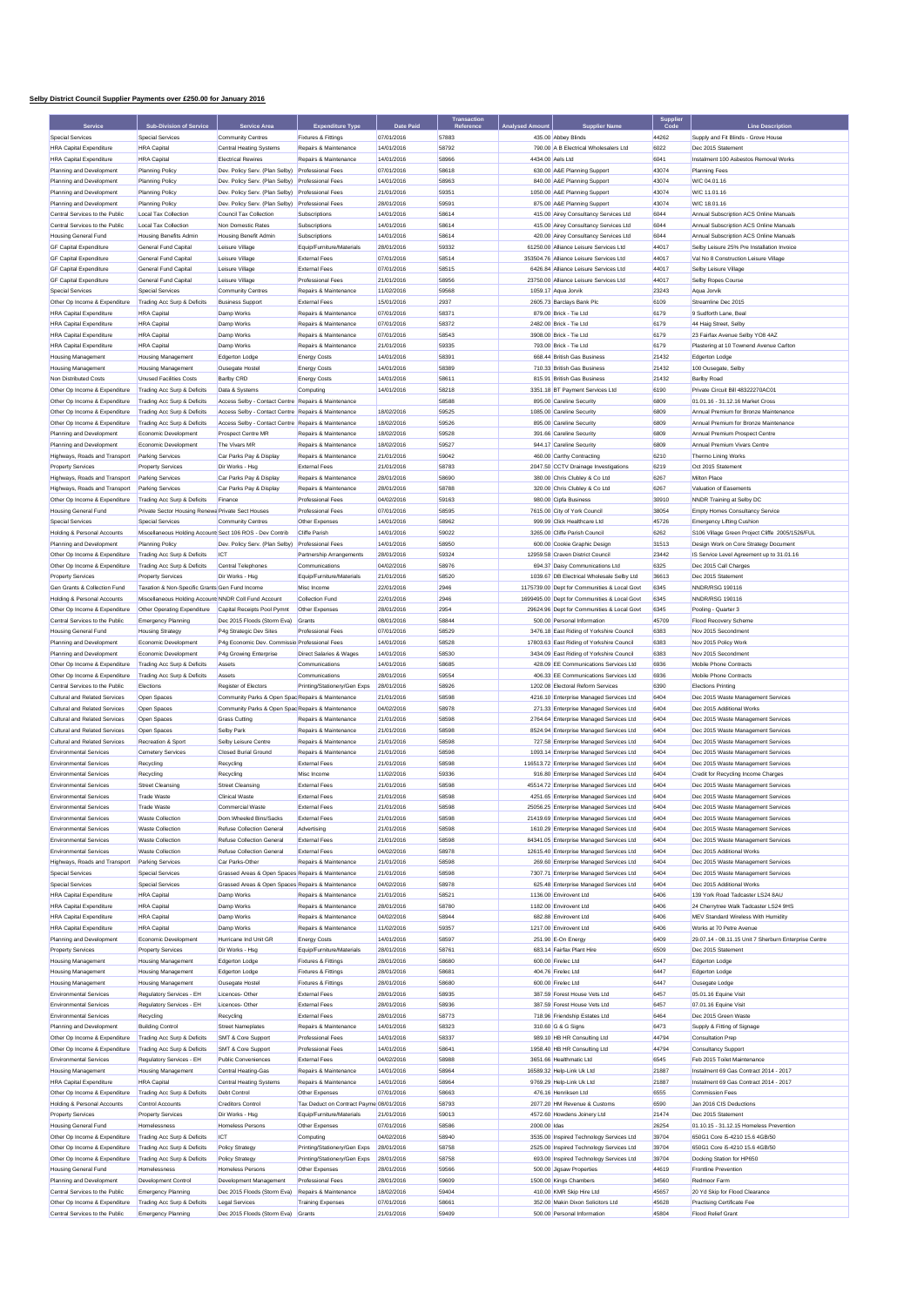## **Selby District Council Supplier Payments over £250.00 for January 2016**

|                                                                 |                                                               |                                                                           |                                                |                                | Transaction        |                |                                                                              | Supplie<br>Code |                                                                 |
|-----------------------------------------------------------------|---------------------------------------------------------------|---------------------------------------------------------------------------|------------------------------------------------|--------------------------------|--------------------|----------------|------------------------------------------------------------------------------|-----------------|-----------------------------------------------------------------|
| Service<br>Special Services                                     | <b>Sub-Division of Service</b><br><b>Special Services</b>     | <b>Service Area</b><br><b>Community Centres</b>                           | <b>Expenditure Type</b><br>Fixtures & Fittings | <b>Date Paid</b><br>07/01/2016 | Reference<br>57883 |                | 435.00 Abbey Blinds                                                          | 44262           | <b>Line Description</b><br>Supply and Fit Blinds - Grove House  |
| <b>HRA Capital Expenditure</b>                                  | <b>HRA</b> Capital                                            | <b>Central Heating Systems</b>                                            | Repairs & Maintenance                          | 14/01/2016                     | 58792              |                | 790.00 A B Electrical Wholesalers Ltd                                        | 6022            | Dec 2015 Statement                                              |
| <b>HRA Capital Expenditure</b>                                  | <b>HRA</b> Capital                                            | <b>Electrical Rewires</b>                                                 | Repairs & Maintenance                          | 14/01/2016                     | 58966              |                | 4434.00 Aels Ltd                                                             | 6041            | Instalment 100 Asbestos Removal Works                           |
| Planning and Development                                        | <b>Planning Policy</b>                                        | Dev. Policy Serv. (Plan Selby)                                            | Professional Fees                              | 07/01/2016                     | 58618              |                | 630.00 A&E Planning Support                                                  | 43074           | <b>Planning Fees</b>                                            |
| Planning and Development                                        |                                                               | Dev. Policy Serv. (Plan Selby) Professional Fees                          |                                                | 14/01/2016                     | 58963              |                | 840.00 A&E Planning Support                                                  | 43074           | W/C 04.01.16                                                    |
| Planning and Development                                        | <b>Planning Policy</b><br><b>Planning Policy</b>              | Dev. Policy Serv. (Plan Selby)                                            | <b>Professional Fees</b>                       | 21/01/2016                     | 59351              |                | 1050.00 A&E Planning Support                                                 | 43074           | W/C 11.01.16                                                    |
| Planning and Development                                        | <b>Planning Policy</b>                                        | Dev. Policy Serv. (Plan Selby)                                            | <b>Professional Fees</b>                       | 28/01/2016                     | 59591              |                | 875.00 A&E Planning Support                                                  | 43074           | W/C 18.01.16                                                    |
| Central Services to the Public                                  | <b>Local Tax Collection</b>                                   | Council Tax Collection                                                    | Subscriptions                                  | 14/01/2016                     | 58614              |                | 415.00 Airey Consultancy Services Ltd                                        | 6044            | Annual Subscription ACS Online Manuals                          |
| Central Services to the Public                                  | Local Tax Collection                                          | Non Domestic Rates                                                        | Subscriptions                                  | 14/01/2016                     | 58614              |                | 415.00 Airey Consultancy Services Ltd                                        | 6044            | Annual Subscription ACS Online Manuals                          |
| <b>Housing General Fund</b>                                     | <b>Housing Benefits Admin</b>                                 | <b>Housing Benefit Admin</b>                                              | Subscriptions                                  | 14/01/2016                     | 58614              |                | 420.00 Airey Consultancy Services Ltd                                        | 6044            | Annual Subscription ACS Online Manuals                          |
| <b>GF Capital Expenditure</b>                                   | General Fund Capital                                          | Leisure Village                                                           | Equip/Furniture/Materials                      | 28/01/2016                     | 59332              |                | 61250.00 Alliance Leisure Services Ltd                                       | 44017           | Selby Leisure 25% Pre Installation Invoice                      |
| <b>GF Capital Expenditure</b>                                   | General Fund Capital                                          | Leisure Village                                                           | <b>External Fees</b>                           | 07/01/2016                     | 58514              |                | 353504.76 Alliance Leisure Services Ltd                                      | 44017           | Val No 8 Construction Leisure Village                           |
| <b>GF Capital Expenditure</b>                                   | General Fund Capital                                          | Leisure Village                                                           | <b>External Fees</b>                           | 07/01/2016                     | 58515              |                | 6426 84 Alliance Leisure Services Ltd                                        | 44017           | Selby Leisure Village                                           |
| <b>GF Capital Expenditure</b>                                   | General Fund Capital                                          | Leisure Village                                                           | <b>Professional Fees</b>                       | 21/01/2016                     | 58956              |                | 23750.00 Alliance Leisure Services Ltd                                       | 44017           | Selby Ropes Course                                              |
| <b>Special Services</b>                                         | <b>Special Services</b>                                       | <b>Community Centres</b>                                                  | Repairs & Maintenance                          | 11/02/2016                     | 59568              |                | 1059.17 Aqua Jorvik                                                          | 23243           | Aqua Jorvik                                                     |
| Other Op Income & Expenditure                                   | Trading Acc Surp & Deficits                                   | <b>Business Support</b>                                                   | <b>External Fees</b>                           | 15/01/2016                     | 2937               |                | 2605.73 Barclays Bank Plc                                                    | 6109            | Streamline Dec 2015                                             |
| <b>HRA Capital Expenditure</b>                                  | <b>HRA</b> Capital                                            | Damp Works                                                                | Repairs & Maintenance                          | 07/01/2016                     | 58371              |                | 879.00 Brick - Tie Ltd                                                       | 6179            | 9 Sudforth Lane, Beal                                           |
| <b>HRA Capital Expenditure</b>                                  | <b>HRA</b> Capital                                            | Damp Works                                                                | Repairs & Maintenance                          | 07/01/2016                     | 58372              |                | 2482.00 Brick - Tie Ltd                                                      | 6179            | 44 Haig Street, Selby                                           |
| <b>HRA Canital Expenditure</b>                                  | <b>HRA</b> Capital                                            | Damp Works                                                                | Repairs & Maintenance                          | 07/01/2016                     | 58543              |                | 3908.00 Brick - Tie Ltd                                                      | 6179            | 23 Fairfax Avenue Selby YO8 4AZ                                 |
| <b>HRA Capital Expenditure</b>                                  | <b>HRA</b> Capital                                            | Damp Works                                                                | Repairs & Maintenance                          | 21/01/2016                     | 59335              |                | 793.00 Brick - Tie Ltd                                                       | 6179            | Plastering at 10 Townend Avenue Carlton                         |
| <b>Housing Management</b>                                       | <b>Housing Management</b>                                     | Edgerton Lodge                                                            | <b>Energy Costs</b>                            | 14/01/2016                     | 58391              |                | 668.44 British Gas Business                                                  | 21432           | Edgerton Lodge                                                  |
| <b>Housing Management</b>                                       | <b>Housing Management</b>                                     | Ousegate Hostel                                                           | <b>Energy Costs</b>                            | 14/01/2016                     | 58389              |                | 710.33 British Gas Business                                                  | 21432           | 100 Ousegate, Selby                                             |
| Non Distributed Costs<br>Other Op Income & Expenditure          | <b>Unused Facilities Costs</b><br>Trading Acc Surp & Deficits | <b>Barlby CRD</b><br>Data & Systems                                       | <b>Energy Costs</b><br>Computing               | 14/01/2016<br>14/01/2016       | 58611<br>58218     |                | 815.91 British Gas Business<br>3351.18 BT Payment Services Ltd               | 21432<br>6190   | <b>Barlby Road</b><br>Private Circuit Bill 48322270AC01         |
| Other Op Income & Expenditure                                   | Trading Acc Surp & Deficits                                   | Access Selby - Contact Centre Repairs & Maintenance                       |                                                |                                | 58588              |                | 895.00 Careline Security                                                     | 6809            | 01.01.16 - 31.12.16 Market Cross                                |
| Other Op Income & Expenditure                                   | Trading Acc Surp & Deficits                                   | Access Selby - Contact Centre Repairs & Maintenance                       |                                                | 18/02/2016                     | 59525              |                | 1085.00 Careline Security                                                    | 6809            | Annual Premium for Bronze Maintenance                           |
| Other Op Income & Expenditure                                   | Trading Acc Surp & Deficits                                   | Access Selby - Contact Centre Repairs & Maintenance                       |                                                | 18/02/2016                     | 59526              |                | 895.00 Careline Security                                                     | 6809            | Annual Premium for Bronze Maintenance                           |
| Planning and Development                                        | Economic Development                                          | Prospect Centre MR                                                        | Repairs & Maintenance                          | 18/02/2016                     | 59528              |                | 391.66 Careline Security                                                     | 6809            | Annual Premium Prospect Centre                                  |
| Planning and Development                                        | Economic Development                                          | The Vivars MR                                                             | Repairs & Maintenance                          | 18/02/2016                     | 59527              |                | 944.17 Careline Security                                                     | 6809            | Annual Premium Vivars Centre                                    |
| Highways, Roads and Transport                                   | Parking Services                                              | Car Parks Pay & Display                                                   | Repairs & Maintenance                          | 21/01/2016                     | 59042              |                | 460.00 Carthy Contracting                                                    | 6210            | Thermo Lining Works                                             |
| <b>Property Services</b>                                        | <b>Property Services</b>                                      | Dir Works - Hsg                                                           | <b>External Fees</b>                           | 21/01/2016                     | 58783              |                | 2047.50 CCTV Drainage Investigations                                         | 6219            | Oct 2015 Statement                                              |
| Highways, Roads and Transport                                   | Parking Services                                              | Car Parks Pay & Display                                                   | Repairs & Maintenance                          | 28/01/2016                     | 58690              |                | 380.00 Chris Clubley & Co Ltd                                                | 6267            | Milton Place                                                    |
| Highways, Roads and Transport                                   | Parking Services                                              | Car Parks Pay & Display                                                   | Repairs & Maintenance                          | 28/01/2016                     | 58788              |                | 320.00 Chris Clubley & Co Ltd                                                | 6267            | Valuation of Easements                                          |
| Other Op Income & Expenditure                                   | Trading Acc Surp & Deficits                                   | Finance                                                                   | <b>Professional Fees</b>                       | 04/02/2016                     | 59163              |                | 980.00 Cipfa Business                                                        | 30910           | NNDR Training at Selby DC                                       |
| <b>Housing General Fund</b>                                     | Private Sector Housing Renewa Private Sect Houses             |                                                                           | Professional Fees                              | 07/01/2016                     | 58595              |                | 7615.00 City of York Council                                                 | 38054           | <b>Empty Homes Consultancy Service</b>                          |
| <b>Special Services</b>                                         | Special Services                                              | <b>Community Centres</b>                                                  | Other Expenses                                 | 14/01/2016                     | 58962              |                | 999.99 Click Healthcare Ltd                                                  | 45726           | <b>Emergency Lifting Cushion</b>                                |
| Holding & Personal Accounts                                     | Miscellaneous Holding Account: Sect 106 ROS - Dev Contrib     |                                                                           | <b>Cliffe Parish</b>                           | 14/01/2016                     | 59022              |                | 3265.00 Cliffe Parish Council                                                | 6262            | S106 Village Green Project Cliffe 2005/1526/FUL                 |
| Planning and Development                                        | <b>Planning Policy</b>                                        | Dev. Policy Serv. (Plan Selby) Professional Fees                          |                                                | 14/01/2016                     | 58950              |                | 600.00 Cookie Graphic Design                                                 | 31513           | Design Work on Core Strategy Document                           |
| Other Op Income & Expenditure                                   | Trading Acc Surp & Deficits                                   | ICT                                                                       | Partnership Arrangements                       | 28/01/2016                     | 59324              |                | 12959.58 Craven District Council                                             | 23442           | IS Service Level Agreement up to 31.01.16                       |
| Other Op Income & Expenditure                                   | Trading Acc Surp & Deficits                                   | Central Telephones                                                        | Communications                                 | 04/02/2016                     | 58976              |                | 694.37 Daisy Communications Ltd                                              | 6325            | Dec 2015 Call Charges                                           |
| <b>Property Services</b>                                        | <b>Property Services</b>                                      | Dir Works - Hsa                                                           | Equip/Furniture/Materials                      | 21/01/2016                     | 58520              |                | 1039.67 DB Electrical Wholesale Selby Ltd                                    | 36613           | Dec 2015 Statement                                              |
| Gen Grants & Collection Fund                                    | Taxation & Non-Specific Grants Gen Fund Income                |                                                                           | Misc Income                                    | 22/01/2016                     | 2946               |                | 1175739.00 Dept for Communities & Local Govt                                 | 6345            | NNDR/RSG 190116                                                 |
| <b>Holding &amp; Personal Accounts</b>                          | Miscellaneous Holding Account: NNDR Coll Fund Account         |                                                                           | <b>Collection Fund</b>                         | 22/01/2016                     | 2946               |                | 1699495.00 Dept for Communities & Local Govt                                 | 6345            | NNDR/RSG 190116                                                 |
| Other Op Income & Expenditure                                   | Other Operating Expenditure                                   | Capital Receipts Pool Pymnt                                               | Other Expenses                                 | 28/01/2016                     | 2954               |                | 29624.96 Dept for Communities & Local Govt                                   | 6345            | Pooling - Quarter 3                                             |
| Central Services to the Public                                  | <b>Emergency Planning</b>                                     | Dec 2015 Floods (Storm Eva)                                               | Grants                                         | 08/01/2016                     | 58844              |                | 500.00 Personal Information                                                  | 45709           | <b>Flood Recovery Scheme</b>                                    |
| <b>Housing General Fund</b>                                     | <b>Housing Strategy</b>                                       | P4g Strategic Dev Sites                                                   | Professional Fees                              | 07/01/2016                     | 58529              |                | 3476.18 East Riding of Yorkshire Council                                     | 6383            | Nov 2015 Secondment                                             |
| Planning and Development                                        | Economic Development                                          | P4g Economic Dev. Commiss                                                 | sio Professional Fees                          | 14/01/2016                     | 58528              |                | 17803.63 East Riding of Yorkshire Council                                    | 6383            | Nov 2015 Policy Work                                            |
| Planning and Development                                        | Economic Development                                          | P4g Growing Enterprise                                                    | <b>Direct Salaries &amp; Wages</b>             | 14/01/2016                     | 58530              |                | 3434.09 East Riding of Yorkshire Council                                     | 6383            | Nov 2015 Secondment                                             |
| Other Op Income & Expenditure                                   | Trading Acc Surp & Deficits                                   | Assets                                                                    | Communications                                 | 14/01/2016                     | 58685              |                | 428.09 EE Communications Services Ltd                                        | 6936            | Mobile Phone Contracts                                          |
| Other Op Income & Expenditure                                   | Trading Acc Surp & Deficits                                   | Assets                                                                    | Communications                                 | 28/01/2016                     | 59554              |                | 406.33 EE Communications Services Ltd                                        | 6936            | Mobile Phone Contracts                                          |
| Central Services to the Public<br>Cultural and Related Services | Elections<br>Open Spaces                                      | Register of Electors<br>Community Parks & Open Spac Repairs & Maintenance | Printing/Stationery/Gen Exps                   | 28/01/2016<br>21/01/2016       | 58926<br>58598     |                | 1202.08 Electoral Reform Services<br>4216.10 Enterprise Managed Services Ltd | 6390<br>6404    | <b>Elections Printing</b><br>Dec 2015 Waste Management Services |
| Cultural and Related Services                                   | Open Spaces                                                   | Community Parks & Open Spac Repairs & Maintenance                         |                                                | 04/02/2016                     | 58978              |                | 271.33 Enterprise Managed Services Ltd                                       | 6404            | Dec 2015 Additional Works                                       |
| Cultural and Related Services                                   | Open Spaces                                                   | <b>Grass Cutting</b>                                                      | Repairs & Maintenance                          | 21/01/2016                     | 58598              |                | 2764.64 Enterprise Managed Services Ltd                                      | 6404            | Dec 2015 Waste Management Services                              |
| Cultural and Related Services                                   | Open Spaces                                                   | Selby Park                                                                | Repairs & Maintenance                          | 21/01/2016                     | 58598              |                | 8524.94 Enterprise Managed Services Ltd                                      | 6404            | Dec 2015 Waste Management Services                              |
| Cultural and Related Services                                   | Recreation & Sport                                            | Selby Leisure Centre                                                      | <b>Renairs &amp; Maintenance</b>               | 21/01/2016                     | 58598              |                | 727.58 Enterprise Managed Services Ltd                                       | 6404            | Dec 2015 Waste Management Services                              |
| <b>Environmental Services</b>                                   | Cemetery Services                                             | <b>Closed Burial Ground</b>                                               | Repairs & Maintenance                          | 21/01/2016                     | 58598              |                | 1093.14 Enterprise Managed Services Ltd                                      | 6404            | Dec 2015 Waste Management Services                              |
| <b>Environmental Services</b>                                   | Recycling                                                     | Recycling                                                                 | <b>External Fees</b>                           | 21/01/2016                     | 58598              |                | 116513.72 Enterprise Managed Services Ltd                                    | 6404            | Dec 2015 Waste Management Services                              |
| Environmental Services                                          | Recycling                                                     | Recycling                                                                 | Misc Income                                    | 11/02/2016                     | 59336              |                | 916.80 Enterprise Managed Services Ltd                                       | 6404            | Credit for Recycling Income Charges                             |
| <b>Environmental Services</b>                                   | <b>Street Cleansing</b>                                       | <b>Street Cleansing</b>                                                   | <b>External Fees</b>                           | 21/01/2016                     | 58598              |                | 45514.72 Enterprise Managed Services Ltd                                     | 6404            | Dec 2015 Waste Management Services                              |
| <b>Environmental Services</b>                                   | <b>Trade Waste</b>                                            | <b>Clinical Waste</b>                                                     | <b>External Fees</b>                           | 21/01/2016                     | 58598              |                | 4251.65 Enterprise Managed Services Ltd                                      | 6404            | Dec 2015 Waste Management Services                              |
|                                                                 | Trade V                                                       |                                                                           | Eyte                                           | 21/01/2016                     | 5850               | 25056.25 Enter |                                                                              | 6404            | Dec 2015 Waste Mar                                              |
| <b>Environmental Services</b>                                   | <b>Waste Collection</b>                                       | Dom.Wheeled Bins/Sacks                                                    | <b>External Fees</b>                           | 21/01/2016                     | 58598              |                | 21419.69 Enterprise Managed Services Ltd                                     | 6404            | Dec 2015 Waste Management Services                              |
| <b>Environmental Services</b>                                   | <b>Waste Collection</b>                                       | Refuse Collection General                                                 | Advertising                                    | 21/01/2016                     | 58598              |                | 1610.29 Enterprise Managed Services Ltd                                      | 6404            | Dec 2015 Waste Management Services                              |
| <b>Environmental Services</b>                                   | <b>Waste Collection</b>                                       | Refuse Collection General                                                 | <b>External Fees</b>                           | 21/01/2016                     | 58598              |                | 84341.05 Enterprise Managed Services Ltd                                     | 6404            | Dec 2015 Waste Management Services                              |
| <b>Environmental Services</b>                                   | <b>Waste Collection</b>                                       | <b>Refuse Collection General</b>                                          | <b>External Fees</b>                           | 04/02/2016                     | 58978              |                | 12615.40 Enterprise Managed Services Ltd                                     | 6404            | Dec 2015 Additional Works                                       |
| Highways, Roads and Transport                                   | Parking Services                                              | Car Parks-Other                                                           | Repairs & Maintenance                          | 21/01/2016                     | 58598              |                | 269.60 Enterprise Managed Services Ltd                                       | 6404            | Dec 2015 Waste Management Services                              |
| <b>Special Services</b>                                         | <b>Special Services</b>                                       | Grassed Areas & Open Spaces Repairs & Maintenance                         |                                                | 21/01/2016                     | 58598              |                | 7307.71 Enterprise Managed Services Ltd                                      | 6404            | Dec 2015 Waste Management Services                              |
| <b>Special Services</b>                                         | <b>Special Services</b>                                       | Grassed Areas & Open Spaces Repairs & Maintenance                         |                                                | 04/02/2016                     | 58978              |                | 625.48 Enterprise Managed Services Ltd                                       | 6404            | Dec 2015 Additional Works                                       |
| <b>HRA Capital Expenditure</b>                                  | <b>HRA</b> Capital                                            | Damp Works                                                                | Repairs & Maintenance                          | 21/01/2016                     | 58521              |                | 1136.00 Envirovent Ltd                                                       | 6406            | 139 York Road Tadcaster LS24 8AU                                |
| <b>HRA Capital Expenditure</b>                                  | <b>HRA</b> Capital                                            | Damp Works                                                                | Repairs & Maintenance                          | 28/01/2016                     | 58780              |                | 1182.00 Envirovent Ltd                                                       | 6406            | 24 Cherrytree Walk Tadcaster LS24 9HS                           |
| <b>HRA Capital Expenditure</b>                                  | <b>HRA</b> Capital                                            | Damp Works                                                                | Repairs & Maintenance                          | 04/02/2016                     | 58944              |                | 682.88 Envirovent Ltd                                                        | 6406            | MEV Standard Wireless With Humidity                             |
| <b>HRA Capital Expenditure</b>                                  | <b>HRA</b> Capital                                            | Damp Works                                                                | Repairs & Maintenance                          | 11/02/2016                     | 59357              |                | 1217.00 Envirovent Ltd                                                       | 6406            | Works at 70 Petre Avenue                                        |
| Planning and Development                                        | Economic Development                                          | Hurricane Ind Unit GR                                                     | <b>Energy Costs</b>                            | 14/01/2016                     | 58597              |                | 251.90 E-On Energy                                                           | 6409            | 29.07.14 - 08.11.15 Unit 7 Sherburn Enterprise Centre           |
| <b>Property Services</b>                                        | <b>Property Services</b>                                      | Dir Works - Hsg                                                           | Equip/Furniture/Materials                      | 28/01/2016                     | 58761              |                | 683.14 Fairfax Plant Hire                                                    | 6509            | Dec 2015 Statement                                              |
| <b>Housing Management</b><br><b>Housing Management</b>          | <b>Housing Management</b>                                     | Edgerton Lodge                                                            | Fixtures & Fittings<br>Fixtures & Fittings     | 28/01/2016<br>28/01/2016       | 58680<br>58681     |                | 600.00 Firelec Ltd<br>404.76 Firelec Ltd                                     | 6447<br>6447    | Edgerton Lodge<br><b>Edgerton Lodge</b>                         |
| <b>Housing Management</b>                                       | <b>Housing Management</b><br><b>Housing Management</b>        | Edgerton Lodge<br>Ousegate Hostel                                         | Fixtures & Fittings                            | 28/01/2016                     | 58680              |                | 600.00 Firelec Ltd                                                           | 6447            | Ousegate Lodge                                                  |
| <b>Environmental Services</b>                                   | Regulatory Services - EH                                      | Licences-Other                                                            | <b>External Fees</b>                           | 28/01/2016                     | 58935              |                | 387.59 Forest House Vets Ltd                                                 | 6457            | 05.01.16 Equine Visit                                           |
| <b>Environmental Services</b>                                   | Regulatory Services - EH                                      | Licences-Other                                                            | <b>External Fees</b>                           | 28/01/2016                     | 58936              |                | 387.59 Forest House Vets Ltd                                                 | 6457            | 07.01.16 Equine Visit                                           |
| <b>Environmental Services</b>                                   | Recycling                                                     | Recycling                                                                 | <b>External Fees</b>                           | 28/01/2016                     | 58773              |                | 718.96 Friendship Estates Ltd                                                | 6464            | Dec 2015 Green Waste                                            |
| Planning and Development                                        | <b>Building Control</b>                                       | <b>Street Nameplates</b>                                                  | Repairs & Maintenance                          | 14/01/2016                     | 58323              |                | 310.60 G & G Signs                                                           | 6473            | Supply & Fitting of Signage                                     |
| Other Op Income & Expenditure                                   | Trading Acc Surp & Deficits                                   | SMT & Core Support                                                        | Professional Fees                              | 14/01/2016                     | 58337              |                | 989.10 HB HR Consulting Ltd                                                  | 44794           | <b>Consultation Prep</b>                                        |
| Other Op Income & Expenditure                                   | Trading Acc Surp & Deficits                                   | SMT & Core Support                                                        | <b>Professional Fees</b>                       | 14/01/2016                     | 58641              |                | 1958.40 HB HR Consulting Ltd                                                 | 44794           | <b>Consultancy Support</b>                                      |
| <b>Environmental Services</b>                                   | Regulatory Services - EH                                      | <b>Public Conveniences</b>                                                | <b>External Fees</b>                           | 04/02/2016                     | 58988              |                | 3651.66 Healthmatic Ltd                                                      | 6545            | Feb 2015 Toilet Maintenance                                     |
| <b>Housing Management</b>                                       | <b>Housing Management</b>                                     | Central Heating-Gas                                                       | Repairs & Maintenance                          | 14/01/2016                     | 58964              |                | 16589.32 Help-Link Uk Ltd                                                    | 21887           | Instalment 69 Gas Contract 2014 - 2017                          |
| <b>HRA Capital Expenditure</b>                                  | <b>HRA</b> Capital                                            | Central Heating Systems                                                   | Repairs & Maintenance                          | 14/01/2016                     | 58964              |                | 9769.29 Help-Link Uk Ltd                                                     | 21887           | Instalment 69 Gas Contract 2014 - 2017                          |
| Other Op Income & Expenditure                                   | Trading Acc Surp & Deficits                                   | Debt Control                                                              | Other Expenses                                 | 07/01/2016                     | 58663              |                | 476.16 Henriksen Ltd                                                         | 6555            | <b>Commission Fees</b>                                          |
| Holding & Personal Accounts                                     | Control Accounts                                              | <b>Creditors Control</b>                                                  | Tax Deduct on Contract Payme 08/01/2016        |                                | 58793              |                | 2077.20 HM Revenue & Customs                                                 | 6590            | Jan 2016 CIS Deductions                                         |
| <b>Property Services</b>                                        | <b>Property Services</b>                                      | Dir Works - Hsg                                                           | Equip/Furniture/Materials                      | 21/01/2016                     | 59013              |                | 4572.60 Howdens Joinery Ltd                                                  | 21474           | Dec 2015 Statement                                              |
| Housing General Fund                                            | Homelessness                                                  | <b>Homeless Persons</b>                                                   | Other Expenses                                 | 07/01/2016                     | 58586              | 2000.00 Idas   |                                                                              | 26254           | 01.10.15 - 31.12.15 Homeless Prevention                         |
| Other Op Income & Expenditure                                   | Trading Acc Surp & Deficits                                   | <b>ICT</b>                                                                | Computing                                      | 04/02/2016                     | 58940              |                | 3535.00 Inspired Technology Services Ltd                                     | 39704           | 650G1 Core i5-4210 15.6 4GB/50                                  |
| Other Op Income & Expenditure                                   | Trading Acc Surp & Deficits                                   | Policy Strategy                                                           | Printing/Stationery/Gen Exps                   | 28/01/2016                     | 58758              |                | 2525.00 Inspired Technology Services Ltd                                     | 39704           | 650G1 Core i5-4210 15.6 4GB/50                                  |
| Other Op Income & Expenditure                                   | Trading Acc Surp & Deficits                                   | <b>Policy Strategy</b>                                                    | Printing/Stationery/Gen Exps                   | 28/01/2016                     | 58758              |                | 693.00 Inspired Technology Services Ltd                                      | 39704           | Docking Station for HP650                                       |
| Housing General Fund                                            | Homelessness                                                  | Homeless Persons                                                          | Other Expenses                                 | 28/01/2016                     | 59566              |                | 500.00 Jigsaw Properties                                                     | 44619           | <b>Frontline Prevention</b>                                     |
| Planning and Development                                        | Development Control                                           | Development Management                                                    | Professional Fees                              | 28/01/2016                     | 59609              |                | 1500.00 Kings Chambers                                                       | 34560           | Redmoor Farm                                                    |
| Central Services to the Public                                  | <b>Emergency Planning</b>                                     | Dec 2015 Floods (Storm Eva)                                               | Repairs & Maintenance                          | 18/02/2016                     | 59404              |                | 410.00 KMR Skip Hire Ltd                                                     | 45657           | 20 Yd Skip for Flood Clearance                                  |
| Other Op Income & Expenditure                                   | Trading Acc Surp & Deficits                                   | <b>Legal Services</b>                                                     | <b>Training Expenses</b>                       | 07/01/2016                     | 58661              |                | 352.00 Makin Dixon Solicitors Ltd                                            | 45628           | <b>Practising Certificate Fee</b>                               |
| Central Services to the Public                                  | <b>Emergency Planning</b>                                     | Dec 2015 Floods (Storm Eva) Grants                                        |                                                | 21/01/2016                     | 59409              |                | 500.00 Personal Information                                                  | 45804           | <b>Flood Relief Grant</b>                                       |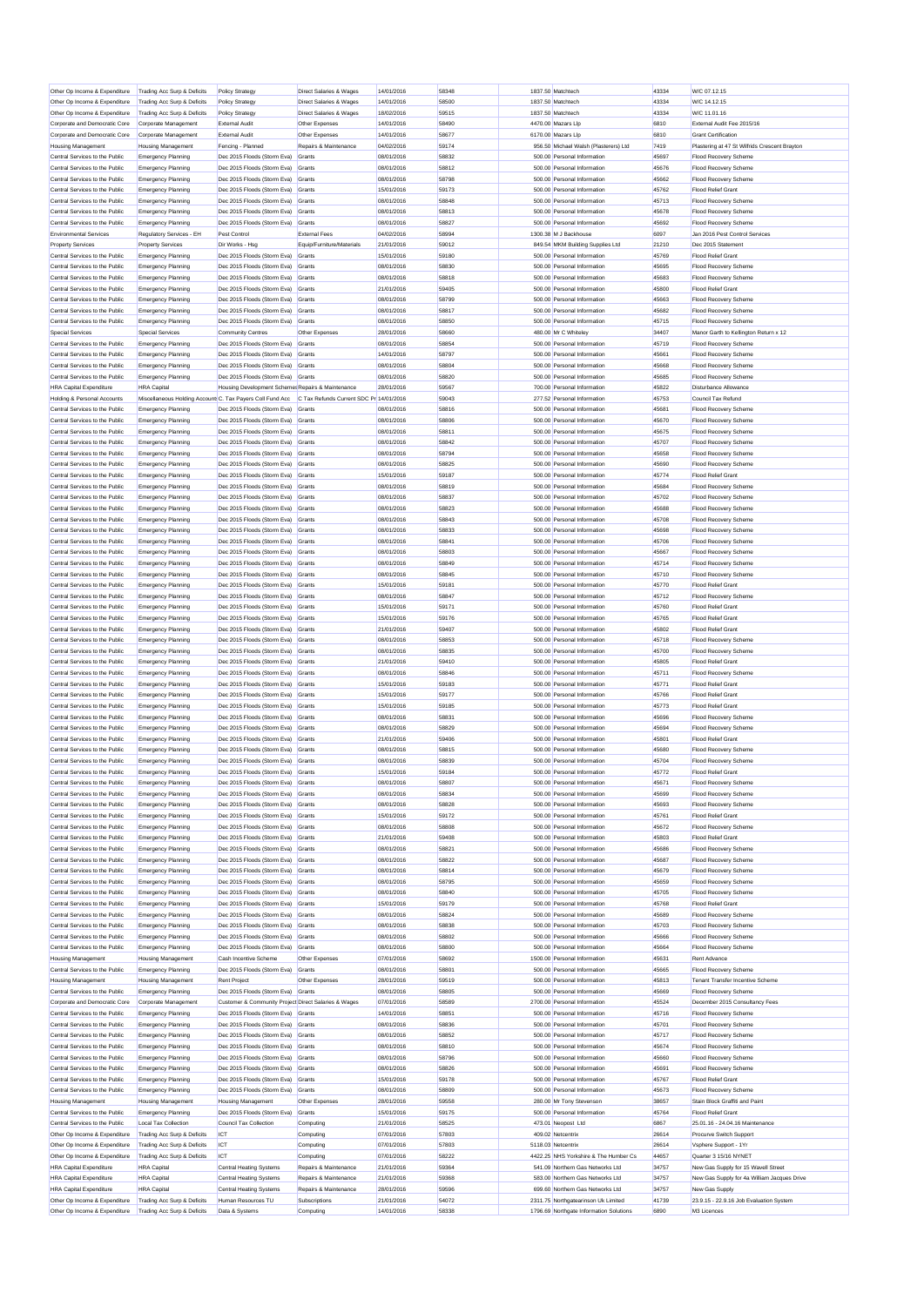| Other Op Income & Expenditure                                    | Trading Acc Surp & Deficits                              | Policy Strategy                                                                                                                   | Direct Salaries & Wages                | 14/01/2016               | 58348          | 1837.50 Matchtech                                                       | 43334          | W/C 07.12.15                                                 |
|------------------------------------------------------------------|----------------------------------------------------------|-----------------------------------------------------------------------------------------------------------------------------------|----------------------------------------|--------------------------|----------------|-------------------------------------------------------------------------|----------------|--------------------------------------------------------------|
| Other Op Income & Expenditure                                    | Trading Acc Surp & Deficits                              | Policy Strategy                                                                                                                   | <b>Direct Salaries &amp; Wages</b>     | 14/01/2016               | 58500          | 1837.50 Matchtech                                                       | 43334          | W/C 14.12.15                                                 |
| Other Op Income & Expenditure                                    | Trading Acc Surp & Deficits                              | <b>Policy Strategy</b>                                                                                                            | <b>Direct Salaries &amp; Wages</b>     | 18/02/2016               | 59515          | 1837.50 Matchtech                                                       | 43334          | W/C 11.01.16                                                 |
| Corporate and Democratic Core                                    | Corporate Management                                     | <b>External Audit</b>                                                                                                             | Other Expenses                         | 14/01/2016               | 58490          | 4470.00 Mazars Lip                                                      | 6810           | External Audit Fee 2015/16                                   |
| Corporate and Democratic Core                                    | Corporate Management                                     | <b>External Audit</b>                                                                                                             | Other Expenses                         | 14/01/2016               | 58677          | 6170.00 Mazars Llp                                                      | 6810           | <b>Grant Certification</b>                                   |
| <b>Housing Management</b>                                        | <b>Housing Management</b>                                | Fencing - Planned                                                                                                                 | Repairs & Maintenance                  | 04/02/2016               | 59174          | 956.50 Michael Walsh (Plasterers) Ltd                                   | 7419           | Plastering at 47 St Wilfrids Crescent Brayton                |
| Central Services to the Public                                   | <b>Emergency Planning</b>                                | Dec 2015 Floods (Storm Eva)                                                                                                       | Grants                                 | 08/01/2016               | 58832          | 500.00 Personal Information                                             | 45697          | <b>Flood Recovery Scheme</b>                                 |
| Central Services to the Public                                   | <b>Emergency Planning</b>                                | Dec 2015 Floods (Storm Eva)                                                                                                       | Grants                                 | 08/01/2016               | 58812          | 500.00 Personal Information                                             | 45676          | <b>Flood Recovery Scheme</b>                                 |
| Central Services to the Public<br>Central Services to the Public | <b>Emergency Planning</b>                                | Dec 2015 Floods (Storm Eva) Grants<br>Dec 2015 Floods (Storm Eva)                                                                 |                                        | 08/01/2016<br>15/01/2016 | 58798<br>59173 | 500.00 Personal Information<br>500.00 Personal Information              | 45662<br>45762 | <b>Flood Recovery Scheme</b><br><b>Flood Relief Grant</b>    |
| Central Services to the Public                                   | <b>Emergency Planning</b><br><b>Emergency Planning</b>   | Dec 2015 Floods (Storm Eva)                                                                                                       | Grants<br>Grants                       | 08/01/2016               | 58848          | 500.00 Personal Information                                             | 45713          | <b>Flood Recovery Scheme</b>                                 |
| Central Services to the Public                                   | <b>Emergency Planning</b>                                | Dec 2015 Floods (Storm Eva)                                                                                                       | Grants                                 | 08/01/2016               | 58813          | 500.00 Personal Information                                             | 45678          | <b>Flood Recovery Scheme</b>                                 |
| Central Services to the Public                                   | <b>Emergency Planning</b>                                | Dec 2015 Floods (Storm Eva)                                                                                                       | Grants                                 | 08/01/2016               | 58827          | 500.00 Personal Information                                             | 45692          | <b>Flood Recovery Scheme</b>                                 |
| <b>Environmental Services</b>                                    | Regulatory Services - EH                                 | Pest Control                                                                                                                      | <b>External Fees</b>                   | 04/02/2016               | 58994          | 1300.38 M J Backhouse                                                   | 6097           | Jan 2016 Pest Control Services                               |
| <b>Property Services</b>                                         | <b>Property Services</b>                                 | Dir Works - Hsg                                                                                                                   | Equip/Furniture/Materials              | 21/01/2016               | 59012          | 849.54 MKM Building Supplies Ltd                                        | 21210          | Dec 2015 Statement                                           |
| Central Services to the Public                                   | <b>Emergency Planning</b>                                | Dec 2015 Floods (Storm Eva)                                                                                                       | Grant                                  | 15/01/2016               | 59180          | 500.00 Personal Information                                             | 45769          | <b>Flood Relief Grant</b>                                    |
| Central Services to the Public                                   | <b>Emergency Planning</b>                                | Dec 2015 Floods (Storm Eva) Grants                                                                                                |                                        | 08/01/2016               | 58830          | 500.00 Personal Information                                             | 45695          | <b>Flood Recovery Scheme</b>                                 |
| Central Services to the Public                                   | <b>Emergency Planning</b>                                | Dec 2015 Floods (Storm Eva) Grants                                                                                                |                                        | 08/01/2016               | 58818          | 500.00 Personal Information                                             | 45683          | <b>Flood Recovery Scheme</b>                                 |
| Central Services to the Public<br>Central Services to the Public | <b>Emergency Planning</b>                                | Dec 2015 Floods (Storm Eva)                                                                                                       | Grants                                 | 21/01/2016               | 59405<br>58799 | 500.00 Personal Information                                             | 45800<br>45663 | <b>Flood Relief Grant</b>                                    |
| Central Services to the Public                                   | <b>Emergency Planning</b><br><b>Emergency Planning</b>   | Dec 2015 Floods (Storm Eva) Grants<br>Dec 2015 Floods (Storm Eva) Grants                                                          |                                        | 08/01/2016<br>08/01/2016 | 58817          | 500.00 Personal Information<br>500.00 Personal Information              | 45682          | <b>Flood Recovery Scheme</b><br><b>Flood Recovery Scheme</b> |
| Central Services to the Public                                   | <b>Emergency Planning</b>                                | Dec 2015 Floods (Storm Eva)                                                                                                       | Grants                                 | 08/01/2016               | 58850          | 500.00 Personal Information                                             | 45715          | <b>Flood Recovery Scheme</b>                                 |
| <b>Special Services</b>                                          | <b>Special Services</b>                                  | <b>Community Centres</b>                                                                                                          | Other Expenses                         | 28/01/2016               | 58660          | 480.00 Mr C Whiteley                                                    | 34407          | Manor Garth to Kellington Return x 12                        |
| Central Services to the Public                                   | <b>Emergency Planning</b>                                | Dec 2015 Floods (Storm Eva) Grants                                                                                                |                                        | 08/01/2016               | 58854          | 500.00 Personal Information                                             | 45719          | <b>Flood Recovery Scheme</b>                                 |
| Central Services to the Public                                   | <b>Emergency Planning</b>                                | Dec 2015 Floods (Storm Eva)                                                                                                       | Grants                                 | 14/01/2016               | 58797          | 500.00 Personal Information                                             | 45661          | <b>Flood Recovery Scheme</b>                                 |
| Central Services to the Public                                   | <b>Emergency Planning</b>                                | Dec 2015 Floods (Storm Eva) Grants                                                                                                |                                        | 08/01/2016               | 58804          | 500.00 Personal Information                                             | 45668          | Flood Recovery Scheme                                        |
| Central Services to the Public                                   | <b>Emergency Planning</b>                                | Dec 2015 Floods (Storm Eva) Grants                                                                                                |                                        | 08/01/2016               | 58820          | 500.00 Personal Information                                             | 45685          | <b>Flood Recovery Scheme</b>                                 |
| <b>HRA Capital Expenditure</b>                                   | <b>HRA Capital</b>                                       | Housing Development Schemer Repairs & Maintenance                                                                                 |                                        | 28/01/2016               | 59567          | 700.00 Personal Information                                             | 45822          | <b>Disturbance Allowance</b>                                 |
| Holding & Personal Accounts<br>Central Services to the Public    |                                                          | Miscellaneous Holding Account: C. Tax Payers Coll Fund Acc C Tax Refunds Current SDC Pr 14/01/2016<br>Dec 2015 Floods (Storm Eva) |                                        |                          | 59043          | 277.52 Personal Information<br>500.00 Personal Information              | 45753          | Council Tax Refund                                           |
| Central Services to the Public                                   | <b>Emergency Planning</b><br><b>Emergency Planning</b>   | Dec 2015 Floods (Storm Eva) Grants                                                                                                | Grants                                 | 08/01/2016<br>08/01/2016 | 58816<br>58806 | 500.00 Personal Information                                             | 45681<br>45670 | <b>Flood Recovery Scheme</b><br>Flood Recovery Scheme        |
| Central Services to the Public                                   | <b>Emergency Planning</b>                                | Dec 2015 Floods (Storm Eva) Grants                                                                                                |                                        | 08/01/2016               | 58811          | 500.00 Personal Information                                             | 45675          | Flood Recovery Scheme                                        |
| Central Services to the Public                                   | <b>Emergency Planning</b>                                | Dec 2015 Floods (Storm Eva)                                                                                                       | Grants                                 | 08/01/2016               | 58842          | 500.00 Personal Information                                             | 45707          | <b>Flood Recovery Scheme</b>                                 |
| Central Services to the Public                                   | <b>Emergency Planning</b>                                | Dec 2015 Floods (Storm Eva) Grants                                                                                                |                                        | 08/01/2016               | 58794          | 500.00 Personal Information                                             | 45658          | <b>Flood Recovery Scheme</b>                                 |
| Central Services to the Public                                   | <b>Emergency Planning</b>                                | Dec 2015 Floods (Storm Eva) Grants                                                                                                |                                        | 08/01/2016               | 58825          | 500.00 Personal Information                                             | 45690          | <b>Flood Recovery Scheme</b>                                 |
| Central Services to the Public                                   | <b>Emergency Planning</b>                                | Dec 2015 Floods (Storm Eva) Grants                                                                                                |                                        | 15/01/2016               | 59187          | 500.00 Personal Information                                             | 45774          | <b>Flood Relief Grant</b>                                    |
| Central Services to the Public                                   | <b>Emergency Planning</b>                                | Dec 2015 Floods (Storm Eva) Grants                                                                                                |                                        | 08/01/2016               | 58819          | 500.00 Personal Information                                             | 45684          | Flood Recovery Scheme                                        |
| Central Services to the Public<br>Central Services to the Public | <b>Emergency Planning</b>                                | Dec 2015 Floods (Storm Eva)                                                                                                       | Grants                                 | 08/01/2016<br>08/01/2016 | 58837<br>58823 | 500.00 Personal Information<br>500.00 Personal Information              | 45702<br>45688 | Flood Recovery Scheme<br><b>Flood Recovery Scheme</b>        |
| Central Services to the Public                                   | <b>Emergency Planning</b><br><b>Emergency Planning</b>   | Dec 2015 Floods (Storm Eva) Grants<br>Dec 2015 Floods (Storm Eva) Grants                                                          |                                        | 08/01/2016               | 58843          | 500.00 Personal Information                                             | 45708          | <b>Flood Recovery Scheme</b>                                 |
| Central Services to the Public                                   | <b>Emergency Planning</b>                                | Dec 2015 Floods (Storm Eva)                                                                                                       | Grants                                 | 08/01/2016               | 58833          | 500.00 Personal Information                                             | 45698          | <b>Flood Recovery Scheme</b>                                 |
| Central Services to the Public                                   | <b>Emergency Planning</b>                                | Dec 2015 Floods (Storm Eva) Grants                                                                                                |                                        | 08/01/2016               | 58841          | 500.00 Personal Information                                             | 45706          | <b>Flood Recovery Scheme</b>                                 |
| Central Services to the Public                                   | <b>Emergency Planning</b>                                | Dec 2015 Floods (Storm Eva) Grants                                                                                                |                                        | 08/01/2016               | 58803          | 500.00 Personal Information                                             | 45667          | <b>Flood Recovery Scheme</b>                                 |
| Central Services to the Public                                   | <b>Emergency Planning</b>                                | Dec 2015 Floods (Storm Eva)                                                                                                       | Grants                                 | 08/01/2016               | 58849          | 500.00 Personal Information                                             | 45714          | Flood Recovery Scheme                                        |
| Central Services to the Public                                   | <b>Emergency Planning</b>                                | Dec 2015 Floods (Storm Eva) Grants                                                                                                |                                        | 08/01/2016               | 58845          | 500.00 Personal Information                                             | 45710          | <b>Flood Recovery Scheme</b>                                 |
| Central Services to the Public                                   | <b>Emergency Planning</b>                                | Dec 2015 Floods (Storm Eva) Grants                                                                                                |                                        | 15/01/2016               | 59181          | 500.00 Personal Information                                             | 45770          | <b>Flood Relief Grant</b>                                    |
| Central Services to the Public<br>Central Services to the Public | <b>Emergency Planning</b><br><b>Emergency Planning</b>   | Dec 2015 Floods (Storm Eva) Grants<br>Dec 2015 Floods (Storm Eva) Grants                                                          |                                        | 08/01/2016<br>15/01/2016 | 58847<br>59171 | 500.00 Personal Information<br>500.00 Personal Information              | 45712<br>45760 | <b>Flood Recovery Scheme</b><br><b>Flood Relief Grant</b>    |
| Central Services to the Public                                   | <b>Emergency Planning</b>                                | Dec 2015 Floods (Storm Eva)                                                                                                       | Grants                                 | 15/01/2016               | 59176          | 500.00 Personal Information                                             | 45765          | <b>Flood Relief Grant</b>                                    |
| Central Services to the Public                                   | <b>Emergency Planning</b>                                | Dec 2015 Floods (Storm Eva) Grants                                                                                                |                                        | 21/01/2016               | 59407          | 500.00 Personal Information                                             | 45802          | <b>Flood Relief Grant</b>                                    |
| Central Services to the Public                                   | <b>Emergency Planning</b>                                | Dec 2015 Floods (Storm Eva) Grants                                                                                                |                                        | 08/01/2016               | 58853          | 500.00 Personal Information                                             | 45718          | <b>Flood Recovery Scheme</b>                                 |
| Central Services to the Public                                   | <b>Emergency Planning</b>                                | Dec 2015 Floods (Storm Eva)                                                                                                       | Grants                                 | 08/01/2016               | 58835          | 500.00 Personal Information                                             | 45700          | Flood Recovery Scheme                                        |
| Central Services to the Public                                   | <b>Emergency Planning</b>                                | Dec 2015 Floods (Storm Eva) Grants                                                                                                |                                        | 21/01/2016               | 59410          | 500.00 Personal Information                                             | 45805          | <b>Flood Relief Grant</b>                                    |
| Central Services to the Public                                   | <b>Emergency Planning</b>                                | Dec 2015 Floods (Storm Eva) Grants                                                                                                |                                        | 08/01/2016               | 58846          | 500.00 Personal Information                                             | 45711          | <b>Flood Recovery Scheme</b>                                 |
| Central Services to the Public<br>Central Services to the Public | <b>Emergency Planning</b>                                | Dec 2015 Floods (Storm Eva)                                                                                                       | Grants                                 | 15/01/2016               | 59183          | 500.00 Personal Information                                             | 45771          | Flood Relief Grant                                           |
| Central Services to the Public                                   | <b>Emergency Planning</b><br><b>Emergency Planning</b>   | Dec 2015 Floods (Storm Eva) Grants<br>Dec 2015 Floods (Storm Eva) Grants                                                          |                                        | 15/01/2016<br>15/01/2016 | 59177<br>59185 | 500.00 Personal Information<br>500.00 Personal Information              | 45766<br>45773 | <b>Flood Relief Grant</b><br><b>Flood Relief Grant</b>       |
| Central Services to the Public                                   | <b>Emergency Planning</b>                                | Dec 2015 Floods (Storm Eva) Grants                                                                                                |                                        | 08/01/2016               | 58831          | 500.00 Personal Information                                             | 45696          | <b>Flood Recovery Scheme</b>                                 |
| Central Services to the Public                                   | <b>Emergency Planning</b>                                | Dec 2015 Floods (Storm Eva) Grants                                                                                                |                                        | 08/01/2016               | 58829          | 500.00 Personal Information                                             | 45694          | <b>Flood Recovery Scheme</b>                                 |
| Central Services to the Public                                   | <b>Emergency Planning</b>                                | Dec 2015 Floods (Storm Eva)                                                                                                       | Grants                                 | 21/01/2016               | 59406          | 500.00 Personal Information                                             | 45801          | <b>Flood Relief Grant</b>                                    |
| Central Services to the Public                                   | <b>Emergency Planning</b>                                | Dec 2015 Floods (Storm Eva)                                                                                                       | Grants                                 | 08/01/2016               | 58815          | 500.00 Personal Information                                             | 45680          | <b>Flood Recovery Scheme</b>                                 |
| Central Services to the Public                                   | <b>Emergency Planning</b>                                | Dec 2015 Floods (Storm Eva) Grants                                                                                                |                                        | 08/01/2016               | 58839          | 500.00 Personal Information                                             | 45704          | <b>Flood Recovery Scheme</b>                                 |
| Central Services to the Public                                   | <b>Emergency Planning</b>                                | Dec 2015 Floods (Storm Eva) Grants                                                                                                |                                        | 15/01/2016               | 59184          | 500.00 Personal Information                                             | 45772          | <b>Flood Relief Grant</b>                                    |
| Central Services to the Public                                   | <b>Emergency Planning</b>                                | Dec 2015 Floods (Storm Eva) Grants                                                                                                |                                        | 08/01/2016               | 58807          | 500.00 Personal Information                                             | 45671          | Flood Recovery Scheme                                        |
| Central Services to the Public<br>Central Services to the Public | <b>Emergency Planning</b><br><b>Emergency Planning</b>   | Dec 2015 Floods (Storm Eva) Grants<br>Dec 2015 Floods (Storm Eva)                                                                 | Grants                                 | 08/01/2016<br>08/01/2016 | 58834<br>58828 | 500.00 Personal Information<br>500.00 Personal Information              | 45699<br>45693 | <b>Flood Recovery Scheme</b><br><b>Flood Recovery Scheme</b> |
| Central Services to the Public                                   | <b>Emergency Planning</b>                                | Dec 2015 Floods (Storm Eva) Grants                                                                                                |                                        | 15/01/2016               | 59172          | 500.00 Personal Information                                             | 45761          | <b>Flood Relief Grant</b>                                    |
| Central Services to the Public                                   | <b>Emergency Planning</b>                                | Dec 2015 Floods (Storm Eva) Grants                                                                                                |                                        | 08/01/2016               | 58808          | 500.00 Personal Information                                             | 45672          | <b>Flood Recovery Scheme</b>                                 |
| Central Services to the Public                                   | <b>Emergency Planning</b>                                | Dec 2015 Floods (Storm Eva) Grants                                                                                                |                                        | 21/01/2016               | 59408          | 500.00 Personal Information                                             | 45803          | <b>Flood Relief Grant</b>                                    |
| Central Services to the Public                                   | <b>Emergency Planning</b>                                | Dec 2015 Floods (Storm Eva) Grants                                                                                                |                                        | 08/01/2016               | 58821          | 500.00 Personal Information                                             | 45686          | Flood Recovery Scheme                                        |
| Central Services to the Public                                   | <b>Emergency Planning</b>                                | Dec 2015 Floods (Storm Eva) Grants                                                                                                |                                        | 08/01/2016               | 58822          | 500.00 Personal Information                                             | 45687          | <b>Flood Recovery Scheme</b>                                 |
| Central Services to the Public                                   | <b>Emergency Planning</b>                                | Dec 2015 Floods (Storm Eva)                                                                                                       | Grants                                 | 08/01/2016               | 58814          | 500.00 Personal Information                                             | 45679          | Flood Recovery Scheme                                        |
| Central Services to the Public<br>Central Services to the Public | <b>Emergency Planning</b><br><b>Emergency Planning</b>   | Dec 2015 Floods (Storm Eva) Grants<br>Dec 2015 Floods (Storm Eva) Grants                                                          |                                        | 08/01/2016<br>08/01/2016 | 58795<br>58840 | 500.00 Personal Information<br>500.00 Personal Information              | 45659<br>45705 | <b>Flood Recovery Scheme</b><br><b>Flood Recovery Scheme</b> |
| Central Services to the Public                                   | <b>Emergency Planning</b>                                | Dec 2015 Floods (Storm Eva) Grants                                                                                                |                                        | 15/01/2016               | 59179          | 500.00 Personal Information                                             | 45768          | <b>Flood Relief Grant</b>                                    |
| Central Services to the Public                                   | <b>Emergency Planning</b>                                | Dec 2015 Floods (Storm Eva) Grants                                                                                                |                                        | 08/01/2016               | 58824          | 500.00 Personal Information                                             | 45689          | Flood Recovery Scheme                                        |
| Central Services to the Public                                   | <b>Emergency Planning</b>                                | Dec 2015 Floods (Storm Eva)                                                                                                       | Grants                                 | 08/01/2016               | 58838          | 500.00 Personal Information                                             | 45703          | <b>Flood Recovery Scheme</b>                                 |
| Central Services to the Public                                   | <b>Emergency Planning</b>                                | Dec 2015 Floods (Storm Eva) Grants                                                                                                |                                        | 08/01/2016               | 58802          | 500.00 Personal Information                                             | 45666          | <b>Flood Recovery Scheme</b>                                 |
| Central Services to the Public<br><b>Housing Management</b>      | <b>Emergency Planning</b><br><b>Housing Managemen</b>    | Dec 2015 Floods (Storm Eva)<br>Cash Incentive Scheme                                                                              | Grants<br>Other Expenses               | 08/01/2016<br>07/01/2016 | 58800<br>58692 | 500.00 Personal Information<br>1500.00 Personal Information             | 45664<br>45631 | Flood Recovery Scheme<br>Rent Advance                        |
| Central Services to the Public                                   | <b>Emergency Planning</b>                                | Dec 2015 Floods (Storm Eva) Grants                                                                                                |                                        | 08/01/2016               | 58801          | 500.00 Personal Information                                             | 45665          | <b>Flood Recovery Scheme</b>                                 |
| <b>Housing Management</b>                                        | <b>Housing Management</b>                                | <b>Rent Project</b>                                                                                                               | Other Expenses                         | 28/01/2016               | 59519          | 500.00 Personal Information                                             | 45813          | Tenant Transfer Incentive Scheme                             |
| Central Services to the Public                                   | <b>Emergency Planning</b>                                | Dec 2015 Floods (Storm Eva)                                                                                                       | Grants                                 | 08/01/2016               | 58805          | 500.00 Personal Information                                             | 45669          | <b>Flood Recovery Scheme</b>                                 |
| Corporate and Democratic Core                                    | Corporate Management                                     | Customer & Community Project Direct Salaries & Wages                                                                              |                                        | 07/01/2016               | 58589          | 2700.00 Personal Information                                            | 45524          | December 2015 Consultancy Fees                               |
| Central Services to the Public                                   | <b>Emergency Planning</b>                                | Dec 2015 Floods (Storm Eva) Grants                                                                                                |                                        | 14/01/2016               | 58851          | 500.00 Personal Information                                             | 45716          | <b>Flood Recovery Scheme</b>                                 |
| Central Services to the Public                                   | <b>Emergency Planning</b>                                | Dec 2015 Floods (Storm Eva) Grants                                                                                                |                                        | 08/01/2016               | 58836          | 500.00 Personal Information                                             | 45701          | Flood Recovery Scheme                                        |
| Central Services to the Public<br>Central Services to the Public | <b>Emergency Planning</b><br><b>Emergency Planning</b>   | Dec 2015 Floods (Storm Eva) Grants<br>Dec 2015 Floods (Storm Eva) Grants                                                          |                                        | 08/01/2016<br>08/01/2016 | 58852<br>58810 | 500.00 Personal Information<br>500.00 Personal Information              | 45717<br>45674 | <b>Flood Recovery Scheme</b><br><b>Flood Recovery Scheme</b> |
| Central Services to the Public                                   | <b>Emergency Planning</b>                                | Dec 2015 Floods (Storm Eva) Grants                                                                                                |                                        | 08/01/2016               | 58796          | 500.00 Personal Information                                             | 45660          | <b>Flood Recovery Scheme</b>                                 |
| Central Services to the Public                                   | <b>Emergency Planning</b>                                | Dec 2015 Floods (Storm Eva) Grants                                                                                                |                                        | 08/01/2016               | 58826          | 500.00 Personal Information                                             | 45691          | <b>Flood Recovery Scheme</b>                                 |
| Central Services to the Public                                   | <b>Emergency Planning</b>                                | Dec 2015 Floods (Storm Eva) Grants                                                                                                |                                        | 15/01/2016               | 59178          | 500.00 Personal Information                                             | 45767          | <b>Flood Relief Grant</b>                                    |
| Central Services to the Public                                   | <b>Emergency Planning</b>                                | Dec 2015 Floods (Storm Eva) Grants                                                                                                |                                        | 08/01/2016               | 58809          | 500.00 Personal Information                                             | 45673          | <b>Flood Recovery Scheme</b>                                 |
| <b>Housing Management</b>                                        | <b>Housing Management</b>                                | <b>Housing Management</b>                                                                                                         | Other Expenses                         | 28/01/2016               | 59558          | 280.00 Mr Tony Stevenson                                                | 38657          | Stain Block Graffiti and Paint                               |
| Central Services to the Public                                   | <b>Emergency Planning</b><br><b>Local Tax Collection</b> | Dec 2015 Floods (Storm Eva)<br>Council Tax Collection                                                                             | Grants<br>Computing                    | 15/01/2016<br>21/01/2016 | 59175<br>58525 | 500.00 Personal Information<br>473.01 Neopost Ltd                       | 45764<br>6867  | <b>Flood Relief Grant</b><br>25.01.16 - 24.04.16 Maintenance |
|                                                                  |                                                          |                                                                                                                                   |                                        |                          | 57803          | 409.02 Netcentrix                                                       | 26614          | Procurve Switch Support                                      |
| Central Services to the Public<br>Other Op Income & Expenditure  | Trading Acc Surp & Deficits                              | ICT                                                                                                                               |                                        |                          |                |                                                                         |                |                                                              |
| Other Op Income & Expenditure                                    | Trading Acc Surp & Deficits                              | <b>ICT</b>                                                                                                                        | Computing<br>Computing                 | 07/01/2016<br>07/01/2016 | 57803          | 5118.03 Netcentrix                                                      | 26614          | Vsphere Support - 1Yr                                        |
| Other Op Income & Expenditure                                    | Trading Acc Surp & Deficits                              | ICT                                                                                                                               | Computing                              | 07/01/2016               | 58222          | 4422.25 NHS Yorkshire & The Humber Cs                                   | 44657          | Quarter 3 15/16 NYNET                                        |
| <b>HRA Capital Expenditure</b>                                   | <b>HRA</b> Capital                                       | Central Heating Systems                                                                                                           | Repairs & Maintenance                  | 21/01/2016               | 59364          | 541.09 Northern Gas Networks Ltd                                        | 34757          | New Gas Supply for 15 Wavell Street                          |
| <b>HRA Capital Expenditure</b>                                   | <b>HRA</b> Capital                                       | <b>Central Heating Systems</b>                                                                                                    | Repairs & Maintenance                  | 21/01/2016               | 59368          | 583.00 Northern Gas Networks Ltd                                        | 34757          | New Gas Supply for 4a William Jacques Drive                  |
| <b>HRA Capital Expenditure</b><br>Other Op Income & Expenditure  | <b>HRA</b> Capital<br>Trading Acc Surp & Deficits        | <b>Central Heating Systems</b><br>Human Resources TU                                                                              | Repairs & Maintenance<br>Subscriptions | 28/01/2016<br>21/01/2016 | 59596<br>54072 | 699.60 Northern Gas Networks Ltd<br>2311.75 Northgatearinson Uk Limited | 34757<br>41739 | New Gas Supply<br>23.9.15 - 22.9.16 Job Evaluation System    |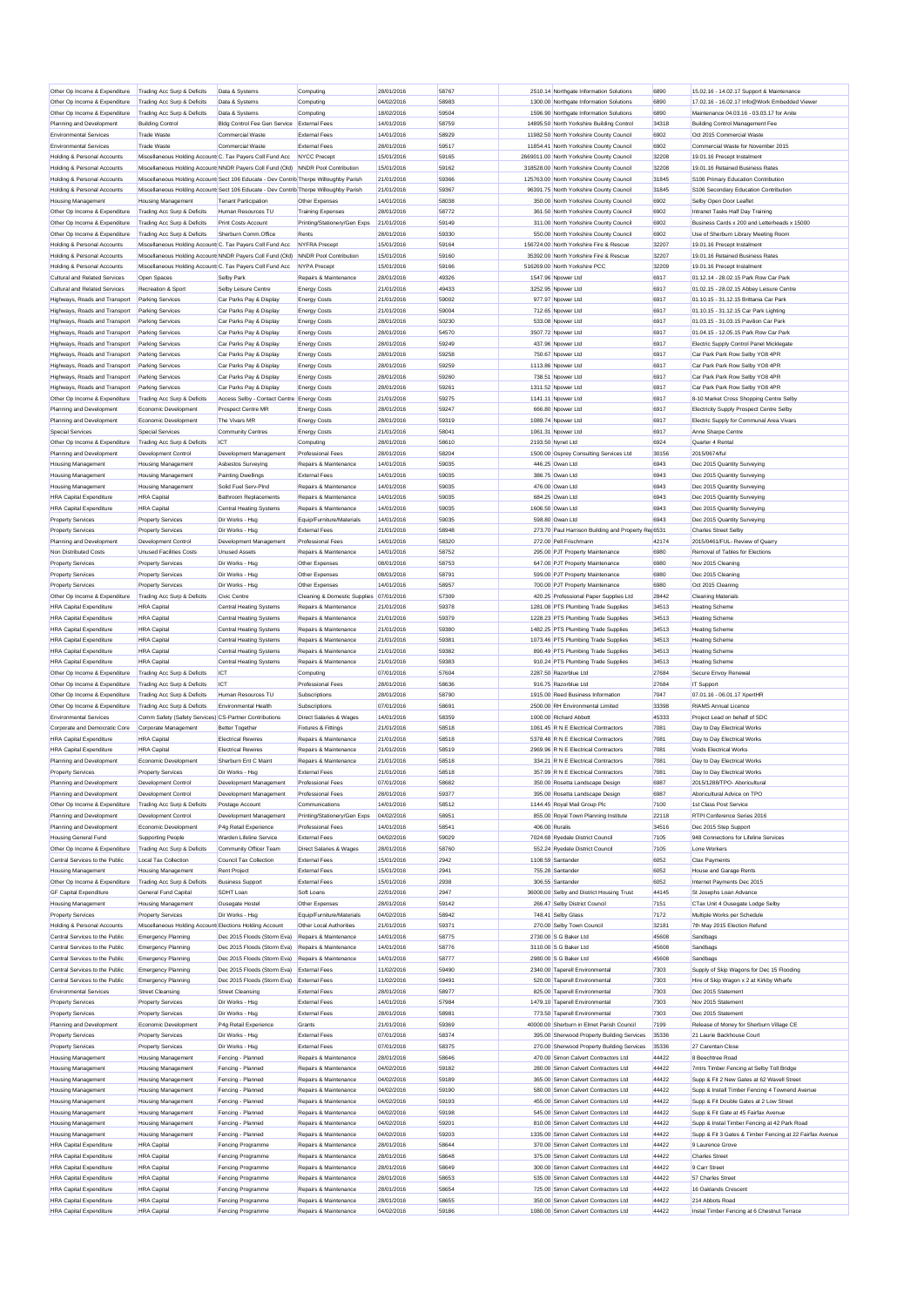| Other Op Income & Expenditure                                    | Trading Acc Surp & Deficits                                | Data & Systems                                                                                                                                                                   | Computing                                      | 28/01/2016               | 58767          |                | 2510.14 Northgate Information Solutions                                              | 6890           | 15.02.16 - 14.02.17 Support & Maintenance                      |
|------------------------------------------------------------------|------------------------------------------------------------|----------------------------------------------------------------------------------------------------------------------------------------------------------------------------------|------------------------------------------------|--------------------------|----------------|----------------|--------------------------------------------------------------------------------------|----------------|----------------------------------------------------------------|
| Other Op Income & Expenditure                                    | Trading Acc Surp & Deficits                                | Data & Systems                                                                                                                                                                   | Computing                                      | 04/02/2016               | 58983          |                | 1300.00 Northgate Information Solutions                                              | 6890           | 17.02.16 - 16.02.17 Info@Work Embedded Viewer                  |
| Other Op Income & Expenditure                                    | Trading Acc Surp & Deficits                                | Data & Systems                                                                                                                                                                   | Computing                                      | 18/02/2016               | 59504          |                | 1596.90 Northgate Information Solutions                                              | 6890           | Maintenance 04.03.16 - 03.03.17 for Anite                      |
| Planning and Development                                         | <b>Building Control</b>                                    | Bldg Control Fee Gen Service External Fees                                                                                                                                       |                                                | 14/01/2016               | 58759          |                | 14895.50 North Yorkshire Building Control                                            | 34318          | <b>Building Control Management Fee</b>                         |
| <b>Environmental Services</b>                                    | <b>Trade Waste</b>                                         | Commercial Waste                                                                                                                                                                 | <b>External Fees</b>                           | 14/01/2016               | 58929          |                | 11982.50 North Yorkshire County Council                                              | 6902           | Oct 2015 Commercial Waste                                      |
| <b>Environmental Services</b>                                    | <b>Trade Waste</b>                                         | Commercial Waste                                                                                                                                                                 | <b>External Fees</b>                           | 28/01/2016               | 59517          |                | 11854.41 North Yorkshire County Council                                              | 6902           | Commercial Waste for November 2015                             |
| Holding & Personal Accounts                                      | Miscellaneous Holding Account: C. Tax Pavers Coll Fund Acc |                                                                                                                                                                                  | NYCC Precept                                   | 15/01/2016               | 59165          |                | 2669011.00 North Yorkshire County Council                                            | 32208          | 19.01.16 Precept Instalmen<br>19.01.16 Retained Business Rates |
| Holding & Personal Accounts<br>Holding & Personal Accounts       |                                                            | Miscellaneous Holding Account: NNDR Payers Coll Fund (Old) NNDR Pool Contribution                                                                                                |                                                | 15/01/2016<br>21/01/2016 | 59162<br>59366 |                | 318528.00 North Yorkshire County Council<br>125763.00 North Yorkshire County Council | 32208<br>31845 | S106 Primary Education Contribution                            |
| Holding & Personal Accounts                                      |                                                            | Miscellaneous Holding Account: Sect 106 Educate - Dev Contrib Thorpe Willoughby Parish<br>Miscellaneous Holding Account: Sect 106 Educate - Dev Contrib Thorpe Willoughby Parish |                                                | 21/01/2016               | 59367          |                | 96391.75 North Yorkshire County Council                                              | 31845          | S106 Secondary Education Contribution                          |
| <b>Housing Management</b>                                        | <b>Housing Management</b>                                  | <b>Tenant Participation</b>                                                                                                                                                      | Other Expenses                                 | 14/01/2016               | 58038          |                | 350.00 North Yorkshire County Council                                                | 6902           | Selby Open Door Leaflet                                        |
| Other Op Income & Expenditure                                    | Trading Acc Surp & Deficits                                | Human Resources TU                                                                                                                                                               | <b>Training Expenses</b>                       | 28/01/2016               | 58772          |                | 361.50 North Yorkshire County Council                                                | 6902           | Intranet Tasks Half Day Training                               |
| Other Op Income & Expenditure                                    | Trading Acc Surp & Deficits                                | <b>Print Costs Account</b>                                                                                                                                                       | Printing/Stationery/Gen Exps                   | 21/01/2016               | 59149          |                | 311.00 North Yorkshire County Council                                                | 6902           | Business Cards x 200 and Letterheads x 15000                   |
| Other Op Income & Expenditure                                    | Trading Acc Surp & Deficits                                | Sherburn Comm.Office                                                                                                                                                             | Rents                                          | 28/01/2016               | 59330          |                | 550.00 North Yorkshire County Council                                                | 6902           | Use of Sherburn Library Meeting Room                           |
| Holding & Personal Accounts                                      | Miscellaneous Holding Account: C. Tax Payers Coll Fund Acc |                                                                                                                                                                                  | <b>NYFRA</b> Precept                           | 15/01/2016               | 59164          |                | 156724.00 North Yorkshire Fire & Rescue                                              | 32207          | 19.01.16 Precept Instalmen                                     |
| Holding & Personal Accounts                                      | Miscellaneous Holding Account: NNDR Payers Coll Fund (Old) |                                                                                                                                                                                  | NNDR Pool Contribution                         | 15/01/2016               | 59160          |                | 35392.00 North Yorkshire Fire & Rescue                                               | 32207          | 19.01.16 Retained Business Rates                               |
| Holding & Personal Accounts                                      | Miscellaneous Holding Account: C. Tax Payers Coll Fund Acc |                                                                                                                                                                                  | NYPA Precept                                   | 15/01/2016               | 59166          |                | 516269.00 North Yorkshire PCC                                                        | 32209          | 19.01.16 Precept Instalmen                                     |
| Cultural and Related Services                                    | Open Spaces                                                | Selby Park                                                                                                                                                                       | Repairs & Maintenance                          | 28/01/2016               | 49326          |                | 1547.96 Npower Ltd                                                                   | 6917           | 01.12.14 - 28.02.15 Park Row Car Park                          |
| Cultural and Related Services                                    | Recreation & Sport                                         | Selby Leisure Centre                                                                                                                                                             | <b>Energy Costs</b>                            | 21/01/2016               | 49433          |                | 3252.95 Npower Ltd                                                                   | 6917           | 01.02.15 - 28.02.15 Abbey Leisure Centre                       |
| Highways, Roads and Transport                                    | <b>Parking Services</b>                                    | Car Parks Pay & Display                                                                                                                                                          | <b>Energy Costs</b>                            | 21/01/2016               | 59002          |                | 977.97 Npower Ltd                                                                    | 6917           | 01.10.15 - 31.12.15 Brittania Car Park                         |
| Highways, Roads and Transport                                    | <b>Parking Services</b>                                    | Car Parks Pay & Display                                                                                                                                                          | <b>Energy Costs</b>                            | 21/01/2016               | 59004          |                | 712.65 Noower Ltd                                                                    | 6917           | 01.10.15 - 31.12.15 Car Park Lighting                          |
| Highways, Roads and Transport                                    | Parking Services                                           | Car Parks Pay & Display                                                                                                                                                          | <b>Energy Costs</b>                            | 28/01/2016               | 50230          |                | 533.08 Npower Ltd                                                                    | 6917           | 01.03.15 - 31.03.15 Pavilion Car Park                          |
| Highways, Roads and Transport                                    | <b>Parking Services</b>                                    | Car Parks Pay & Display                                                                                                                                                          | <b>Energy Costs</b>                            | 28/01/2016               | 54570          |                | 3507.72 Npower Ltd                                                                   | 6917           | 01.04.15 - 12.05.15 Park Row Car Park                          |
| Highways, Roads and Transport                                    | <b>Parking Services</b>                                    | Car Parks Pay & Display                                                                                                                                                          | <b>Energy Costs</b>                            | 28/01/2016               | 59249          |                | 437.96 Npower Ltd                                                                    | 6917           | Electric Supply Control Panel Micklegate                       |
| Highways, Roads and Transport                                    | <b>Parking Services</b>                                    | Car Parks Pay & Display                                                                                                                                                          | <b>Energy Costs</b>                            | 28/01/2016               | 59258          |                | 750.67 Npower Ltd                                                                    | 6917           | Car Park Park Row Selby YO8 4PR                                |
| Highways, Roads and Transport                                    | Parking Services                                           | Car Parks Pay & Display                                                                                                                                                          | <b>Energy Costs</b>                            | 28/01/2016               | 59259          |                | 1113.86 Npower Ltd                                                                   | 6917           | Car Park Park Row Selby YO8 4PR                                |
| Highways, Roads and Transport                                    | <b>Parking Services</b>                                    | Car Parks Pay & Display                                                                                                                                                          | <b>Energy Costs</b>                            | 28/01/2016               | 59260          |                | 738.51 Npower Ltd                                                                    | 6917           | Car Park Park Row Selby YO8 4PR                                |
| Highways, Roads and Transport                                    | <b>Parking Services</b>                                    | Car Parks Pay & Display                                                                                                                                                          | <b>Energy Costs</b>                            | 28/01/2016               | 59261          |                | 1311.52 Noower Ltd                                                                   | 6917           | Car Park Park Row Selby YO8 4PR                                |
| Other Op Income & Expenditure                                    | Trading Acc Surp & Deficits                                | Access Selby - Contact Centre Energy Costs                                                                                                                                       |                                                | 21/01/2016               | 59275          |                | 1141.11 Npower Ltd                                                                   | 6917           | 8-10 Market Cross Shopping Centre Selby                        |
| Planning and Development                                         | Economic Development                                       | Prospect Centre MR                                                                                                                                                               | <b>Energy Costs</b>                            | 28/01/2016               | 59247          |                | 666.80 Npower Ltd                                                                    | 6917           | Electricity Supply Prospect Centre Selby                       |
| Planning and Development                                         | Economic Development                                       | The Vivars MR                                                                                                                                                                    | <b>Energy Costs</b>                            | 28/01/2016               | 59319          |                | 1089.74 Npower Ltd                                                                   | 6917           | Electric Supply for Communal Area Vivars                       |
| <b>Special Services</b>                                          | Special Services                                           | <b>Community Centres</b>                                                                                                                                                         | <b>Energy Costs</b>                            | 21/01/2016               | 58041          |                | 1061.31 Npower Ltd                                                                   | 6917           | Anne Sharpe Centre                                             |
| Other Op Income & Expenditure                                    | Trading Acc Surp & Deficits                                | <b>ICT</b>                                                                                                                                                                       | Computing                                      | 28/01/2016               | 58610          |                | 2193.50 Nynet Ltd                                                                    | 6924           | Quarter 4 Renta                                                |
| Planning and Development                                         | Development Control                                        | Development Management                                                                                                                                                           | Professional Fees                              | 28/01/2016               | 58204          |                | 1500.00 Osprey Consulting Services Ltd                                               | 30156          | 2015/0674/ful                                                  |
| <b>Housing Management</b>                                        | <b>Housing Management</b>                                  | Asbestos Surveying                                                                                                                                                               | Repairs & Maintenance                          | 14/01/2016               | 59035          |                | 446.25 Owan Ltd                                                                      | 6943           | Dec 2015 Quantity Surveying                                    |
| <b>Housing Management</b>                                        | <b>Housing Management</b>                                  | <b>Painting Dwellings</b>                                                                                                                                                        | <b>External Fees</b>                           | 14/01/2016               | 59035          |                | 386.75 Owan Ltd                                                                      | 6943           | Dec 2015 Quantity Surveying                                    |
| <b>Housing Management</b>                                        | <b>Housing Management</b>                                  | Solid Fuel Serv-PInd                                                                                                                                                             | Repairs & Maintenance                          | 14/01/2016               | 59035          |                | 476.00 Owan Ltd                                                                      | 6943           | Dec 2015 Quantity Surveying                                    |
| <b>HRA Capital Expenditure</b>                                   | <b>HRA</b> Capita                                          | <b>Bathroom Replacements</b>                                                                                                                                                     | Repairs & Maintenance                          | 14/01/2016               | 59035          |                | 684 25 Owan Ltd                                                                      | 6943           | Dec 2015 Quantity Surveying                                    |
| <b>HRA Capital Expenditure</b>                                   | <b>HRA</b> Canital                                         | Central Heating Systems                                                                                                                                                          | Repairs & Maintenance                          | 14/01/2016               | 59035          |                | 1606.50 Owan Ltd                                                                     | 6943           | Dec 2015 Quantity Surveying                                    |
| <b>Property Services</b>                                         | <b>Property Services</b>                                   | Dir Works - Hsg                                                                                                                                                                  | Equip/Furniture/Materials                      | 14/01/2016               | 59035          |                | 598.80 Owan Ltd                                                                      | 6943           | Dec 2015 Quantity Surveying                                    |
| <b>Property Services</b>                                         | <b>Property Services</b>                                   | Dir Works - Hsg                                                                                                                                                                  | <b>External Fees</b>                           | 21/01/2016               | 58948          |                | 273.70 Paul Harrison Building and Property Rej 6531                                  |                | Charles Street Selby                                           |
| <b>Planning and Development</b>                                  | <b>Development Control</b>                                 | Development Management                                                                                                                                                           | <b>Professional Fees</b>                       | 14/01/2016               | 58320          |                | 272.00 Pell Frischmann                                                               | 42174          | 2015/0461/FUL- Review of Quarry                                |
| Non Distributed Costs                                            | <b>Unused Facilities Costs</b>                             | <b>Unused Assets</b>                                                                                                                                                             | Repairs & Maintenance                          | 14/01/2016               | 58752          |                | 295.00 PJT Property Maintenance                                                      | 6980           | Removal of Tables for Elections                                |
| <b>Property Services</b>                                         | <b>Property Services</b>                                   | Dir Works - Hsg                                                                                                                                                                  | Other Expenses                                 | 08/01/2016               | 58753<br>58791 |                | 647.00 PJT Property Maintenance                                                      | 6980<br>6980   | Nov 2015 Cleaning                                              |
| <b>Property Services</b><br><b>Property Services</b>             | <b>Property Services</b><br><b>Property Services</b>       | Dir Works - Hsg<br>Dir Works - Hsa                                                                                                                                               | Other Expenses<br>Other Expenses               | 08/01/2016<br>14/01/2016 | 58957          |                | 599.00 PJT Property Maintenance<br>700.00 PJT Property Maintenance                   | 6980           | Dec 2015 Cleaning<br>Oct 2015 Cleaning                         |
| Other Op Income & Expenditure                                    | Trading Acc Surp & Deficits                                | Civic Centre                                                                                                                                                                     | Cleaning & Domestic Supplies 07/01/2016        |                          | 57309          |                | 420.25 Professional Paper Supplies Ltd                                               | 28442          | <b>Cleaning Materials</b>                                      |
| <b>HRA Capital Expenditure</b>                                   | <b>HRA</b> Capita                                          | <b>Central Heating Systems</b>                                                                                                                                                   | Repairs & Maintenance                          | 21/01/2016               | 59378          |                | 1281.08 PTS Plumbing Trade Supplies                                                  | 34513          | <b>Heating Scheme</b>                                          |
| <b>HRA Capital Expenditure</b>                                   | <b>HRA</b> Capital                                         | <b>Central Heating Systems</b>                                                                                                                                                   | Repairs & Maintenance                          | 21/01/2016               | 59379          |                | 1228.23 PTS Plumbing Trade Supplies                                                  | 34513          | <b>Heating Scheme</b>                                          |
| <b>HRA Capital Expenditure</b>                                   | <b>HRA</b> Capital                                         | <b>Central Heating Systems</b>                                                                                                                                                   | Repairs & Maintenance                          | 21/01/2016               | 59380          |                | 1482.25 PTS Plumbing Trade Supplies                                                  | 34513          | <b>Heating Scheme</b>                                          |
| <b>HRA Capital Expenditure</b>                                   | <b>HRA</b> Capital                                         | <b>Central Heating Systems</b>                                                                                                                                                   | Repairs & Maintenance                          | 21/01/2016               | 59381          |                | 1073.46 PTS Plumbing Trade Supplies                                                  | 34513          | <b>Heating Scheme</b>                                          |
| <b>HRA Capital Expenditure</b>                                   | <b>HRA</b> Capital                                         | <b>Central Heating Systems</b>                                                                                                                                                   | Repairs & Maintenance                          | 21/01/2016               | 59382          |                | 890.49 PTS Plumbing Trade Supplies                                                   | 34513          | <b>Heating Scheme</b>                                          |
|                                                                  |                                                            |                                                                                                                                                                                  |                                                |                          |                |                |                                                                                      |                |                                                                |
| <b>HRA Capital Expenditure</b>                                   | <b>HRA</b> Capital                                         |                                                                                                                                                                                  | Repairs & Maintenance                          | 21/01/2016               |                |                | 910.24 PTS Plumbing Trade Supplies                                                   | 34513          |                                                                |
|                                                                  |                                                            | Central Heating Systems<br>ICT                                                                                                                                                   | Computing                                      |                          | 59383<br>57604 |                |                                                                                      |                | <b>Heating Scheme</b>                                          |
| Other Op Income & Expenditure                                    | Trading Acc Surp & Deficits<br>Trading Acc Surp & Deficits |                                                                                                                                                                                  |                                                | 07/01/2016               | 58636          |                | 2287.50 Razorblue Ltd                                                                | 27684<br>27684 | Secure Envoy Renewal                                           |
| Other Op Income & Expenditure<br>Other Op Income & Expenditure   | Trading Acc Surp & Deficits                                | ICT<br>Human Resources TU                                                                                                                                                        | Professional Fees<br>Subscriptions             | 28/01/2016<br>28/01/2016 | 58790          |                | 916.75 Razorblue Ltd<br>1915.00 Reed Business Information                            | 7047           | IT Support<br>07.01.16 - 06.01.17 XpertHR                      |
| Other Op Income & Expenditure                                    | Trading Acc Surp & Deficits                                | Environmental Health                                                                                                                                                             | Subscriptions                                  | 07/01/2016               | 58691          |                | 2500.00 RH Environmental Limited                                                     | 33398          | <b>RIAMS Annual Licence</b>                                    |
| <b>Environmental Services</b>                                    | Comm Safety (Safety Services) CS-Partner Contributions     |                                                                                                                                                                                  | Direct Salaries & Wages                        | 14/01/2016               | 58359          |                | 1000.00 Richard Abbott                                                               | 45333          | Project Lead on behalf of SDC                                  |
| Corporate and Democratic Core                                    | Corporate Managemen                                        | <b>Better Together</b>                                                                                                                                                           | Fixtures & Fittings                            | 21/01/2016               | 58518          |                | 1061.45 R N E Electrical Contractors                                                 | 7081           | Day to Day Electrical Works                                    |
| <b>HRA Capital Expenditure</b>                                   | <b>HRA</b> Capital                                         | <b>Electrical Rewires</b>                                                                                                                                                        | Repairs & Maintenance                          | 21/01/2016               | 58518          |                | 5378.48 R N E Electrical Contractors                                                 | 7081           | Day to Day Electrical Works                                    |
| <b>HRA Capital Expenditure</b>                                   | <b>HRA</b> Capital                                         | <b>Electrical Rewires</b>                                                                                                                                                        | Repairs & Maintenance                          | 21/01/2016               | 58519          |                | 2969.96 R N E Electrical Contractors                                                 | 7081           | Voids Electrical Works                                         |
| Planning and Development                                         | Economic Development                                       | Sherburn Ent C Maint                                                                                                                                                             | Repairs & Maintenance                          | 21/01/2016               | 58518          |                | 334.21 R N E Electrical Contractors                                                  | 7081           | Day to Day Electrical Works                                    |
| <b>Property Services</b>                                         | <b>Property Services</b>                                   | Dir Works - Hsa                                                                                                                                                                  | <b>External Fees</b>                           | 21/01/2016               | 58518          |                | 357.99 R N E Electrical Contractors                                                  | 7081           | Day to Day Electrical Works                                    |
| Planning and Development                                         | Development Control                                        | Development Management                                                                                                                                                           | <b>Professional Fees</b>                       | 07/01/2016               | 58682          |                | 350.00 Rosetta Landscape Design                                                      | 6987           | 2015/1288/TPO- Aboricultural                                   |
| Planning and Development                                         | Development Control                                        | Development Management                                                                                                                                                           | Professional Fees                              | 28/01/2016               | 59377          |                | 395.00 Rosetta Landscape Design                                                      | 6987           | Aboricultural Advice on TPO                                    |
| Other Op Income & Expenditure                                    | Trading Acc Surp & Deficits                                | Postage Account                                                                                                                                                                  | Communications                                 | 14/01/2016               | 58512          |                | 1144.45 Royal Mail Group Plc                                                         | 7100           | 1st Class Post Service                                         |
| <b>Planning and Development</b>                                  | <b>Development Control</b>                                 | Development Management                                                                                                                                                           | Printing/Stationery/Gen Exps                   | 04/02/2016               | 58951          |                | 855.00 Royal Town Planning Institute                                                 | 22118          | RTPI Conference Series 2016                                    |
| Planning and Development                                         | <b>Economic Development</b>                                | P4g Retail Experience                                                                                                                                                            | Professional Fees                              | 14/01/2016               | 58541          | 406.00 Ruralis |                                                                                      | 34516          | Dec 2015 Step Support                                          |
| Housing General Fund                                             | <b>Supporting People</b>                                   | Warden Lifeline Service                                                                                                                                                          | <b>External Fees</b>                           | 04/02/2016               | 59029          |                | 7024.68 Ryedale District Council                                                     | 7105           | 948 Connections for Lifeline Services                          |
| Other Op Income & Expenditure                                    | Trading Acc Surp & Deficits                                | Community Officer Team                                                                                                                                                           | Direct Salaries & Wages                        | 28/01/2016               | 58760          |                | 552.24 Ryedale District Council                                                      | 7105           | Lone Workers                                                   |
| Central Services to the Public                                   | Local Tax Collection                                       | Council Tax Collection                                                                                                                                                           | <b>External Fees</b>                           | 15/01/2016               | 2942           |                | 1108.59 Santander                                                                    | 6052           | <b>Ctax Payments</b>                                           |
| <b>Housing Management</b>                                        | <b>Housing Management</b>                                  | <b>Rent Project</b>                                                                                                                                                              | <b>External Fees</b>                           | 15/01/2016               | 2941           |                | 755.28 Santander                                                                     | 6052           | <b>House and Garage Rents</b>                                  |
| Other Op Income & Expenditure                                    | Trading Acc Surp & Deficits                                | <b>Business Support</b>                                                                                                                                                          | <b>External Fees</b>                           | 15/01/2016               | 2938           |                | 306.55 Santander                                                                     | 6052           | Internet Payments Dec 2015                                     |
| <b>GF Capital Expenditure</b>                                    | <b>General Fund Capital</b>                                | SDHT Loan                                                                                                                                                                        | Soft Loans                                     | 22/01/2016               | 2947           |                | 36000.00 Selby and District Housing Trust                                            | 44145          | St Josephs Loan Advance                                        |
| <b>Housing Management</b>                                        | <b>Housing Management</b>                                  | Ousegate Hostel                                                                                                                                                                  | Other Expenses                                 | 28/01/2016               | 59142          |                | 266.47 Selby District Council                                                        | 7151           | CTax Unit 4 Ousegate Lodge Selby                               |
| <b>Property Services</b>                                         | <b>Property Services</b>                                   | Dir Works - Hsg                                                                                                                                                                  | Equip/Furniture/Materials                      | 04/02/2016               | 58942          |                | 748.41 Selby Glass                                                                   | 7172           | Multiple Works per Schedule                                    |
| Holding & Personal Accounts                                      | Miscellaneous Holding Account: Elections Holding Account   |                                                                                                                                                                                  | Other Local Authorities                        | 21/01/2016               | 59371          |                | 270.00 Selby Town Council                                                            | 32181          | 7th May 2015 Election Refund                                   |
| Central Services to the Public                                   | <b>Emergency Planning</b>                                  | Dec 2015 Floods (Storm Eva)                                                                                                                                                      | Repairs & Maintenance                          | 14/01/2016               | 58775          |                | 2730.00 S G Baker Ltd                                                                | 45608          | Sandbags                                                       |
| Central Services to the Public                                   | <b>Emergency Planning</b>                                  | Dec 2015 Floods (Storm Eva)                                                                                                                                                      | Repairs & Maintenance                          | 14/01/2016               | 58776          |                | 3110.00 S G Baker Ltd.                                                               | 45608          | Sandbags                                                       |
| Central Services to the Public                                   | <b>Emergency Planning</b>                                  | Dec 2015 Floods (Storm Eva)                                                                                                                                                      | Repairs & Maintenance                          | 14/01/2016               | 58777          |                | 2980.00 S G Baker Ltd                                                                | 45608          | Sandbags                                                       |
| Central Services to the Public                                   | <b>Emergency Planning</b>                                  | Dec 2015 Floods (Storm Eva)                                                                                                                                                      | <b>External Fees</b>                           | 11/02/2016               | 59490          |                | 2340.00 Taperell Environmental                                                       | 7303           | Supply of Skip Wagons for Dec 15 Flooding                      |
| Central Services to the Public                                   | <b>Emergency Planning</b>                                  | Dec 2015 Floods (Storm Eva)                                                                                                                                                      | External Fees                                  | 11/02/2016               | 59491          |                | 520.00 Taperell Environmental                                                        | 7303           | Hire of Skip Wagon x 2 at Kirkby Wharfe                        |
| <b>Environmental Services</b>                                    | <b>Street Cleansing</b>                                    | <b>Street Cleansing</b>                                                                                                                                                          | <b>External Fees</b>                           | 28/01/2016               | 58977          |                | 825.00 Taperell Environmental                                                        | 7303           | Dec 2015 Statement                                             |
| <b>Property Services</b>                                         | <b>Property Services</b>                                   | Dir Works - Hsg                                                                                                                                                                  | <b>External Fees</b>                           | 14/01/2016               | 57984          |                | 1479.10 Taperell Environmental                                                       | 7303           | Nov 2015 Statement                                             |
| <b>Property Services</b>                                         | <b>Property Services</b>                                   | Dir Works - Hsg                                                                                                                                                                  | <b>External Fees</b><br>Grants                 | 28/01/2016               | 58981          |                | 773.50 Taperell Environmental<br>40000.00 Sherburn in Elmet Parish Council           | 7303<br>7199   | Dec 2015 Statement                                             |
| Planning and Development                                         | Economic Development                                       | P4g Retail Experience                                                                                                                                                            | <b>External Fees</b>                           | 21/01/2016               | 59369          |                |                                                                                      | 35336          | Release of Money for Sherburn Village CE                       |
| <b>Property Services</b>                                         | <b>Property Services</b>                                   | Dir Works - Hsg<br>Dir Works - Hsg                                                                                                                                               | <b>External Fees</b>                           | 07/01/2016<br>07/01/2016 | 58374<br>58375 |                | 395.00 Sherwood Property Building Services                                           | 35336          | 21 Laurie Backhouse Court<br>27 Carentan Close                 |
| <b>Property Services</b><br><b>Housing Management</b>            | <b>Property Services</b><br><b>Housing Management</b>      | Fencing - Planned                                                                                                                                                                | Repairs & Maintenance                          | 28/01/2016               | 58646          |                | 270.00 Sherwood Property Building Services<br>470.00 Simon Calvert Contractors Ltd   | 44422          | 8 Beechtree Road                                               |
| <b>Housing Management</b>                                        | <b>Housing Management</b>                                  | Fencing - Planned                                                                                                                                                                | Repairs & Maintenance                          | 04/02/2016               | 59182          |                | 280.00 Simon Calvert Contractors Ltd                                                 | 44422          | 7mtrs Timber Fencing at Selby Toll Bridge                      |
| <b>Housing Management</b>                                        | <b>Housing Management</b>                                  | Fencing - Planned                                                                                                                                                                | Repairs & Maintenance                          | 04/02/2016               | 59189          |                | 365.00 Simon Calvert Contractors Ltd                                                 | 44422          | Supp & Fit 2 New Gates at 62 Wavell Street                     |
|                                                                  |                                                            |                                                                                                                                                                                  | Repairs & Maintenance                          |                          | 59190          |                | 580.00 Simon Calvert Contractors Ltd                                                 | 44422          | Supp & Install Timber Fencing 4 Townend Avenue                 |
| <b>Housing Management</b><br><b>Housing Management</b>           | <b>Housing Management</b><br><b>Housing Management</b>     | Fencing - Planned<br>Fencing - Planned                                                                                                                                           | Repairs & Maintenance                          | 04/02/2016<br>04/02/2016 | 59193          |                | 455.00 Simon Calvert Contractors Ltd                                                 | 44422          | Supp & Fit Double Gates at 2 Low Street                        |
| <b>Housing Management</b>                                        | <b>Housing Management</b>                                  | Fencing - Planned                                                                                                                                                                | Repairs & Maintenance                          | 04/02/2016               | 59198          |                | 545.00 Simon Calvert Contractors Ltd                                                 | 44422          | Supp & Fit Gate at 45 Fairfax Avenue                           |
| <b>Housing Management</b>                                        | <b>Housing Management</b>                                  | Fencing - Planned                                                                                                                                                                | Repairs & Maintenance                          | 04/02/2016               | 59201          |                | 810.00 Simon Calvert Contractors Ltd                                                 | 44422          | Supp & Instal Timber Fencing at 42 Park Road                   |
| <b>Housing Management</b>                                        | <b>Housing Management</b>                                  | Fencing - Planned                                                                                                                                                                | Repairs & Maintenance                          | 04/02/2016               | 59203          |                | 1335.00 Simon Calvert Contractors Ltd                                                | 44422          | Supp & Fit 3 Gates & Timber Fencing at 22 Fairfax Avenue       |
| <b>HRA Capital Expenditure</b>                                   | <b>HRA</b> Capital                                         | Fencing Programme                                                                                                                                                                | Repairs & Maintenance                          | 28/01/2016               | 58644          |                | 370.00 Simon Calvert Contractors Ltd                                                 | 44422          | 9 Laurence Grove                                               |
| <b>HRA Capital Expenditure</b>                                   | <b>HRA</b> Capital                                         | Fencing Programme                                                                                                                                                                | Repairs & Maintenance                          | 28/01/2016               | 58648          |                | 375.00 Simon Calvert Contractors Ltd                                                 | 44422          | <b>Charles Street</b>                                          |
| <b>HRA Capital Expenditure</b>                                   | <b>HRA</b> Capital                                         | Fencing Programme                                                                                                                                                                | Repairs & Maintenance                          | 28/01/2016               | 58649          |                | 300.00 Simon Calvert Contractors Ltd                                                 | 44422          | 9 Carr Street                                                  |
| <b>HRA Capital Expenditure</b>                                   | <b>HRA</b> Capital                                         | <b>Fencing Programme</b>                                                                                                                                                         | Repairs & Maintenance                          | 28/01/2016               | 58653          |                | 535.00 Simon Calvert Contractors Ltd                                                 | 44422          | 57 Charles Street                                              |
| <b>HRA Capital Expenditure</b>                                   | <b>HRA</b> Capital                                         | Fencing Programme                                                                                                                                                                | Repairs & Maintenance                          | 28/01/2016               | 58654          |                | 725.00 Simon Calvert Contractors Ltd                                                 | 44422          | 16 Oaklands Crescent                                           |
| <b>HRA Capital Expenditure</b><br><b>HRA Capital Expenditure</b> | <b>HRA</b> Capital<br><b>HRA</b> Capital                   | Fencing Programme<br>Fencing Programme                                                                                                                                           | Repairs & Maintenance<br>Repairs & Maintenance | 28/01/2016<br>04/02/2016 | 58655<br>59186 |                | 350.00 Simon Calvert Contractors Ltd<br>1080.00 Simon Calvert Contractors Ltd        | 44422<br>44422 | 214 Abbots Road<br>Instal Timber Fencing at 6 Chestnut Terrace |